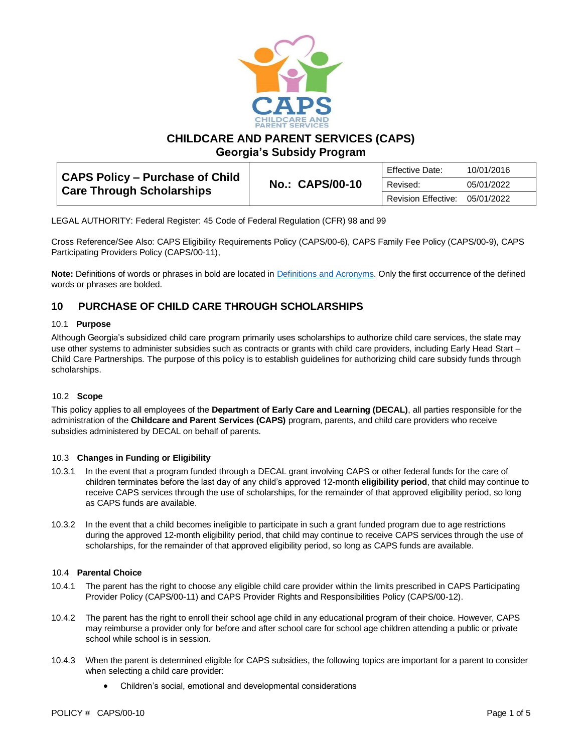

**CHILDCARE AND PARENT SERVICES (CAPS)**

**Georgia's Subsidy Program**

| <b>CAPS Policy - Purchase of Child</b><br><b>Care Through Scholarships</b> | <b>No.: CAPS/00-10</b><br>Revised: | Effective Date:     | 10/01/2016 |
|----------------------------------------------------------------------------|------------------------------------|---------------------|------------|
|                                                                            |                                    |                     | 05/01/2022 |
|                                                                            |                                    | Revision Effective: | 05/01/2022 |

LEGAL AUTHORITY: Federal Register: 45 Code of Federal Regulation (CFR) 98 and 99

Cross Reference/See Also: CAPS Eligibility Requirements Policy (CAPS/00-6), CAPS Family Fee Policy (CAPS/00-9), CAPS Participating Providers Policy (CAPS/00-11),

**Note:** Definitions of words or phrases in bold are located in [Definitions and Acronyms.](https://caps.decal.ga.gov/assets/downloads/CAPS/02-CAPS_Policy-Definitions%20and%20Acronyms.pdf) Only the first occurrence of the defined words or phrases are bolded.

## **10 PURCHASE OF CHILD CARE THROUGH SCHOLARSHIPS**

#### 10.1 **Purpose**

Although Georgia's subsidized child care program primarily uses scholarships to authorize child care services, the state may use other systems to administer subsidies such as contracts or grants with child care providers, including Early Head Start – Child Care Partnerships. The purpose of this policy is to establish guidelines for authorizing child care subsidy funds through scholarships.

## 10.2 **Scope**

This policy applies to all employees of the **Department of Early Care and Learning (DECAL)**, all parties responsible for the administration of the **Childcare and Parent Services (CAPS)** program, parents, and child care providers who receive subsidies administered by DECAL on behalf of parents.

#### 10.3 **Changes in Funding or Eligibility**

- 10.3.1 In the event that a program funded through a DECAL grant involving CAPS or other federal funds for the care of children terminates before the last day of any child's approved 12-month **eligibility period**, that child may continue to receive CAPS services through the use of scholarships, for the remainder of that approved eligibility period, so long as CAPS funds are available.
- 10.3.2 In the event that a child becomes ineligible to participate in such a grant funded program due to age restrictions during the approved 12-month eligibility period, that child may continue to receive CAPS services through the use of scholarships, for the remainder of that approved eligibility period, so long as CAPS funds are available.

#### 10.4 **Parental Choice**

- 10.4.1 The parent has the right to choose any eligible child care provider within the limits prescribed in CAPS Participating Provider Policy (CAPS/00-11) and CAPS Provider Rights and Responsibilities Policy (CAPS/00-12).
- 10.4.2 The parent has the right to enroll their school age child in any educational program of their choice. However, CAPS may reimburse a provider only for before and after school care for school age children attending a public or private school while school is in session.
- 10.4.3 When the parent is determined eligible for CAPS subsidies, the following topics are important for a parent to consider when selecting a child care provider:
	- Children's social, emotional and developmental considerations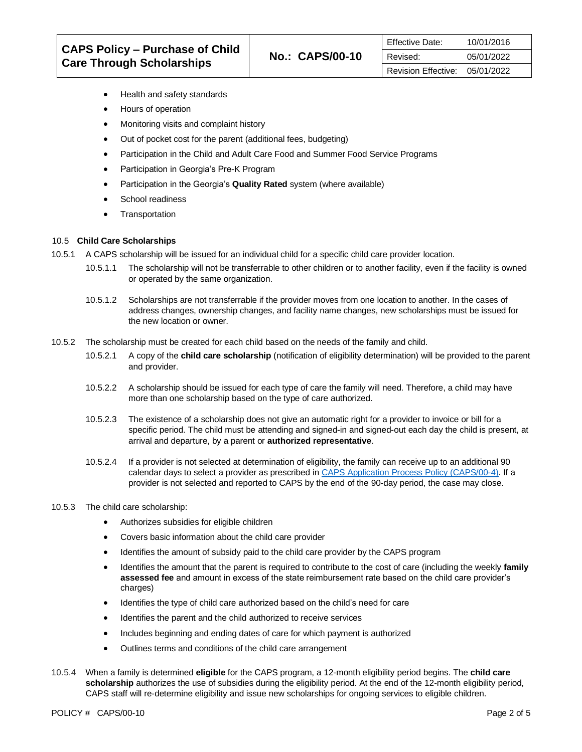- Health and safety standards
- Hours of operation
- Monitoring visits and complaint history
- Out of pocket cost for the parent (additional fees, budgeting)
- Participation in the Child and Adult Care Food and Summer Food Service Programs
- Participation in Georgia's Pre-K Program
- Participation in the Georgia's **Quality Rated** system (where available)
- School readiness • Transportation
- 

### 10.5 **Child Care Scholarships**

- 10.5.1 A CAPS scholarship will be issued for an individual child for a specific child care provider location.
	- 10.5.1.1 The scholarship will not be transferrable to other children or to another facility, even if the facility is owned or operated by the same organization.
	- 10.5.1.2 Scholarships are not transferrable if the provider moves from one location to another. In the cases of address changes, ownership changes, and facility name changes, new scholarships must be issued for the new location or owner.
- 10.5.2 The scholarship must be created for each child based on the needs of the family and child.
	- 10.5.2.1 A copy of the **child care scholarship** (notification of eligibility determination) will be provided to the parent and provider.
	- 10.5.2.2 A scholarship should be issued for each type of care the family will need. Therefore, a child may have more than one scholarship based on the type of care authorized.
	- 10.5.2.3 The existence of a scholarship does not give an automatic right for a provider to invoice or bill for a specific period. The child must be attending and signed-in and signed-out each day the child is present, at arrival and departure, by a parent or **authorized representative**.
	- 10.5.2.4 If a provider is not selected at determination of eligibility, the family can receive up to an additional 90 calendar days to select a provider as prescribed i[n CAPS Application Process Policy \(CAPS/00-4\).](https://caps.decal.ga.gov/assets/downloads/CAPS/04-CAPS_Policy-Application%20Process.pdf) If a provider is not selected and reported to CAPS by the end of the 90-day period, the case may close.
- 10.5.3 The child care scholarship:
	- Authorizes subsidies for eligible children
	- Covers basic information about the child care provider
	- Identifies the amount of subsidy paid to the child care provider by the CAPS program
	- Identifies the amount that the parent is required to contribute to the cost of care (including the weekly **family assessed fee** and amount in excess of the state reimbursement rate based on the child care provider's charges)
	- Identifies the type of child care authorized based on the child's need for care
	- Identifies the parent and the child authorized to receive services
	- Includes beginning and ending dates of care for which payment is authorized
	- Outlines terms and conditions of the child care arrangement
- 10.5.4 When a family is determined **eligible** for the CAPS program, a 12-month eligibility period begins. The **child care scholarship** authorizes the use of subsidies during the eligibility period. At the end of the 12-month eligibility period, CAPS staff will re-determine eligibility and issue new scholarships for ongoing services to eligible children.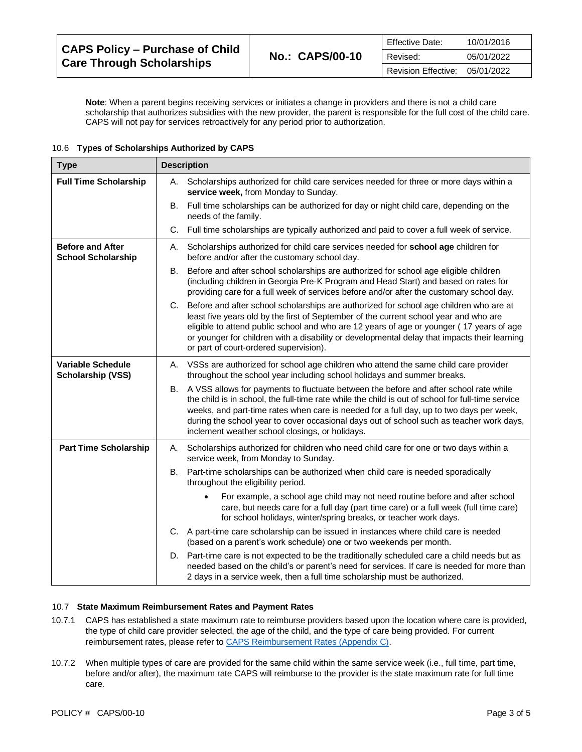| <b>Effective Date:</b>         | 10/01/2016 |
|--------------------------------|------------|
| Revised:                       | 05/01/2022 |
| Revision Effective: 05/01/2022 |            |

**Note**: When a parent begins receiving services or initiates a change in providers and there is not a child care scholarship that authorizes subsidies with the new provider, the parent is responsible for the full cost of the child care. CAPS will not pay for services retroactively for any period prior to authorization.

#### 10.6 **Types of Scholarships Authorized by CAPS**

| <b>Type</b>                                          | <b>Description</b>                                                                                                                                                                                                                                                                                                                                                                                                                         |  |
|------------------------------------------------------|--------------------------------------------------------------------------------------------------------------------------------------------------------------------------------------------------------------------------------------------------------------------------------------------------------------------------------------------------------------------------------------------------------------------------------------------|--|
| <b>Full Time Scholarship</b>                         | A. Scholarships authorized for child care services needed for three or more days within a<br>service week, from Monday to Sunday.                                                                                                                                                                                                                                                                                                          |  |
|                                                      | B. Full time scholarships can be authorized for day or night child care, depending on the<br>needs of the family.                                                                                                                                                                                                                                                                                                                          |  |
|                                                      | C. Full time scholarships are typically authorized and paid to cover a full week of service.                                                                                                                                                                                                                                                                                                                                               |  |
| <b>Before and After</b><br><b>School Scholarship</b> | Scholarships authorized for child care services needed for school age children for<br>А.<br>before and/or after the customary school day.                                                                                                                                                                                                                                                                                                  |  |
|                                                      | Before and after school scholarships are authorized for school age eligible children<br>B.<br>(including children in Georgia Pre-K Program and Head Start) and based on rates for<br>providing care for a full week of services before and/or after the customary school day.                                                                                                                                                              |  |
|                                                      | C. Before and after school scholarships are authorized for school age children who are at<br>least five years old by the first of September of the current school year and who are<br>eligible to attend public school and who are 12 years of age or younger (17 years of age<br>or younger for children with a disability or developmental delay that impacts their learning<br>or part of court-ordered supervision).                   |  |
| <b>Variable Schedule</b><br><b>Scholarship (VSS)</b> | A. VSSs are authorized for school age children who attend the same child care provider<br>throughout the school year including school holidays and summer breaks.                                                                                                                                                                                                                                                                          |  |
|                                                      | A VSS allows for payments to fluctuate between the before and after school rate while<br>В.<br>the child is in school, the full-time rate while the child is out of school for full-time service<br>weeks, and part-time rates when care is needed for a full day, up to two days per week,<br>during the school year to cover occasional days out of school such as teacher work days,<br>inclement weather school closings, or holidays. |  |
| <b>Part Time Scholarship</b>                         | Scholarships authorized for children who need child care for one or two days within a<br>А.<br>service week, from Monday to Sunday.                                                                                                                                                                                                                                                                                                        |  |
|                                                      | Part-time scholarships can be authorized when child care is needed sporadically<br>В.<br>throughout the eligibility period.                                                                                                                                                                                                                                                                                                                |  |
|                                                      | For example, a school age child may not need routine before and after school<br>care, but needs care for a full day (part time care) or a full week (full time care)<br>for school holidays, winter/spring breaks, or teacher work days.                                                                                                                                                                                                   |  |
|                                                      | C. A part-time care scholarship can be issued in instances where child care is needed<br>(based on a parent's work schedule) one or two weekends per month.                                                                                                                                                                                                                                                                                |  |
|                                                      | D. Part-time care is not expected to be the traditionally scheduled care a child needs but as<br>needed based on the child's or parent's need for services. If care is needed for more than<br>2 days in a service week, then a full time scholarship must be authorized.                                                                                                                                                                  |  |

## 10.7 **State Maximum Reimbursement Rates and Payment Rates**

- 10.7.1 CAPS has established a state maximum rate to reimburse providers based upon the location where care is provided, the type of child care provider selected, the age of the child, and the type of care being provided. For current reimbursement rates, please refer t[o CAPS Reimbursement Rates \(Appendix C\).](https://caps.decal.ga.gov/assets/downloads/CAPS/AppendixC-CAPS%20Reimbursement%20Rates.pdf)
- 10.7.2 When multiple types of care are provided for the same child within the same service week (i.e., full time, part time, before and/or after), the maximum rate CAPS will reimburse to the provider is the state maximum rate for full time care.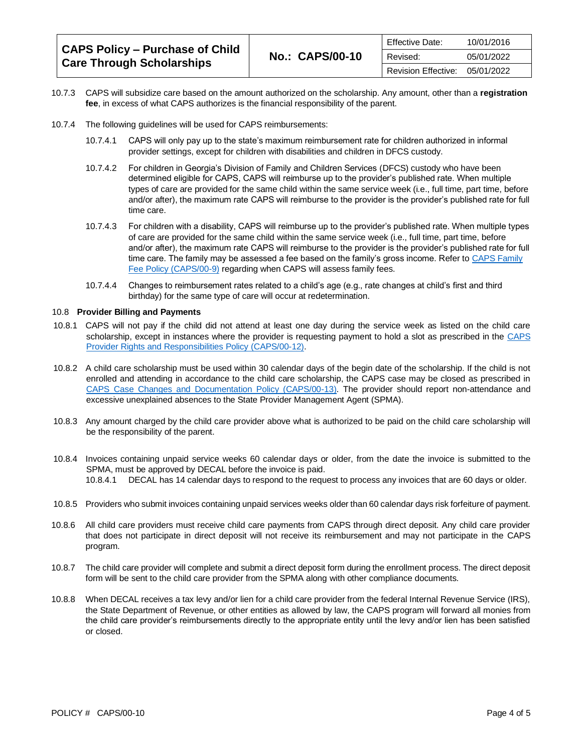| CAPS Policy - Purchase of Child<br><b>Care Through Scholarships</b> | Effective Date:<br><b>No.: CAPS/00-10</b><br>Revised:<br>Revision Effective: |            | 10/01/2016 |
|---------------------------------------------------------------------|------------------------------------------------------------------------------|------------|------------|
|                                                                     |                                                                              |            | 05/01/2022 |
|                                                                     |                                                                              | 05/01/2022 |            |

- 10.7.3 CAPS will subsidize care based on the amount authorized on the scholarship. Any amount, other than a **registration fee**, in excess of what CAPS authorizes is the financial responsibility of the parent.
- 10.7.4 The following guidelines will be used for CAPS reimbursements:
	- 10.7.4.1 CAPS will only pay up to the state's maximum reimbursement rate for children authorized in informal provider settings, except for children with disabilities and children in DFCS custody.
	- 10.7.4.2 For children in Georgia's Division of Family and Children Services (DFCS) custody who have been determined eligible for CAPS, CAPS will reimburse up to the provider's published rate. When multiple types of care are provided for the same child within the same service week (i.e., full time, part time, before and/or after), the maximum rate CAPS will reimburse to the provider is the provider's published rate for full time care.
	- 10.7.4.3 For children with a disability, CAPS will reimburse up to the provider's published rate. When multiple types of care are provided for the same child within the same service week (i.e., full time, part time, before and/or after), the maximum rate CAPS will reimburse to the provider is the provider's published rate for full time care. The family may be assessed a fee based on the family's gross income. Refer t[o CAPS Family](https://caps.decal.ga.gov/assets/downloads/CAPS/09-CAPS_Policy-Family%20Fees.pdf)  [Fee Policy \(CAPS/00-9\)](https://caps.decal.ga.gov/assets/downloads/CAPS/09-CAPS_Policy-Family%20Fees.pdf) regarding when CAPS will assess family fees.
	- 10.7.4.4 Changes to reimbursement rates related to a child's age (e.g., rate changes at child's first and third birthday) for the same type of care will occur at redetermination.

#### 10.8 **Provider Billing and Payments**

- 10.8.1 CAPS will not pay if the child did not attend at least one day during the service week as listed on the child care scholarship, except in instances where the provider is requesting payment to hold a slot as prescribed in the [CAPS](https://caps.decal.ga.gov/assets/downloads/CAPS/12-CAPS_Policy-Child%20Care%20Provider%20Rights%20&%20Responsibilities.pdf)  [Provider Rights and Responsibilities Policy \(CAPS/00-12\).](https://caps.decal.ga.gov/assets/downloads/CAPS/12-CAPS_Policy-Child%20Care%20Provider%20Rights%20&%20Responsibilities.pdf)
- 10.8.2 A child care scholarship must be used within 30 calendar days of the begin date of the scholarship. If the child is not enrolled and attending in accordance to the child care scholarship, the CAPS case may be closed as prescribed in [CAPS Case Changes and Documentation Policy \(CAPS/00-13\).](https://caps.decal.ga.gov/assets/downloads/CAPS/13-CAPS_Policy-Case%20Changes%20and%20Documentation.pdf) The provider should report non-attendance and excessive unexplained absences to the State Provider Management Agent (SPMA).
- 10.8.3 Any amount charged by the child care provider above what is authorized to be paid on the child care scholarship will be the responsibility of the parent.
- 10.8.4 Invoices containing unpaid service weeks 60 calendar days or older, from the date the invoice is submitted to the SPMA, must be approved by DECAL before the invoice is paid. 10.8.4.1 DECAL has 14 calendar days to respond to the request to process any invoices that are 60 days or older.
- 10.8.5 Providers who submit invoices containing unpaid services weeks older than 60 calendar days risk forfeiture of payment.
- 10.8.6 All child care providers must receive child care payments from CAPS through direct deposit. Any child care provider that does not participate in direct deposit will not receive its reimbursement and may not participate in the CAPS program.
- 10.8.7 The child care provider will complete and submit a direct deposit form during the enrollment process. The direct deposit form will be sent to the child care provider from the SPMA along with other compliance documents.
- 10.8.8 When DECAL receives a tax levy and/or lien for a child care provider from the federal Internal Revenue Service (IRS), the State Department of Revenue, or other entities as allowed by law, the CAPS program will forward all monies from the child care provider's reimbursements directly to the appropriate entity until the levy and/or lien has been satisfied or closed.